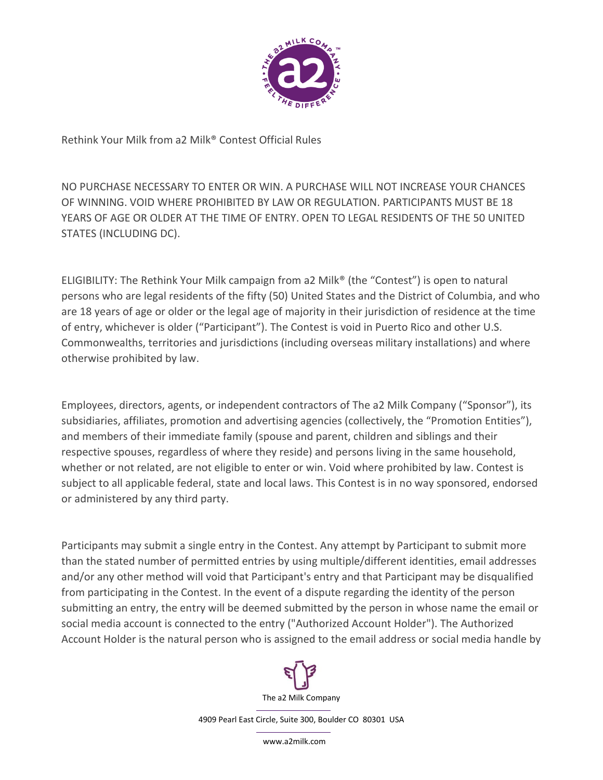

Rethink Your Milk from a2 Milk® Contest Official Rules

NO PURCHASE NECESSARY TO ENTER OR WIN. A PURCHASE WILL NOT INCREASE YOUR CHANCES OF WINNING. VOID WHERE PROHIBITED BY LAW OR REGULATION. PARTICIPANTS MUST BE 18 YEARS OF AGE OR OLDER AT THE TIME OF ENTRY. OPEN TO LEGAL RESIDENTS OF THE 50 UNITED STATES (INCLUDING DC).

ELIGIBILITY: The Rethink Your Milk campaign from a2 Milk® (the "Contest") is open to natural persons who are legal residents of the fifty (50) United States and the District of Columbia, and who are 18 years of age or older or the legal age of majority in their jurisdiction of residence at the time of entry, whichever is older ("Participant"). The Contest is void in Puerto Rico and other U.S. Commonwealths, territories and jurisdictions (including overseas military installations) and where otherwise prohibited by law.

Employees, directors, agents, or independent contractors of The a2 Milk Company ("Sponsor"), its subsidiaries, affiliates, promotion and advertising agencies (collectively, the "Promotion Entities"), and members of their immediate family (spouse and parent, children and siblings and their respective spouses, regardless of where they reside) and persons living in the same household, whether or not related, are not eligible to enter or win. Void where prohibited by law. Contest is subject to all applicable federal, state and local laws. This Contest is in no way sponsored, endorsed or administered by any third party.

Participants may submit a single entry in the Contest. Any attempt by Participant to submit more than the stated number of permitted entries by using multiple/different identities, email addresses and/or any other method will void that Participant's entry and that Participant may be disqualified from participating in the Contest. In the event of a dispute regarding the identity of the person submitting an entry, the entry will be deemed submitted by the person in whose name the email or social media account is connected to the entry ("Authorized Account Holder"). The Authorized Account Holder is the natural person who is assigned to the email address or social media handle by



4909 Pearl East Circle, Suite 300, Boulder CO 80301 USA

www.a2milk.com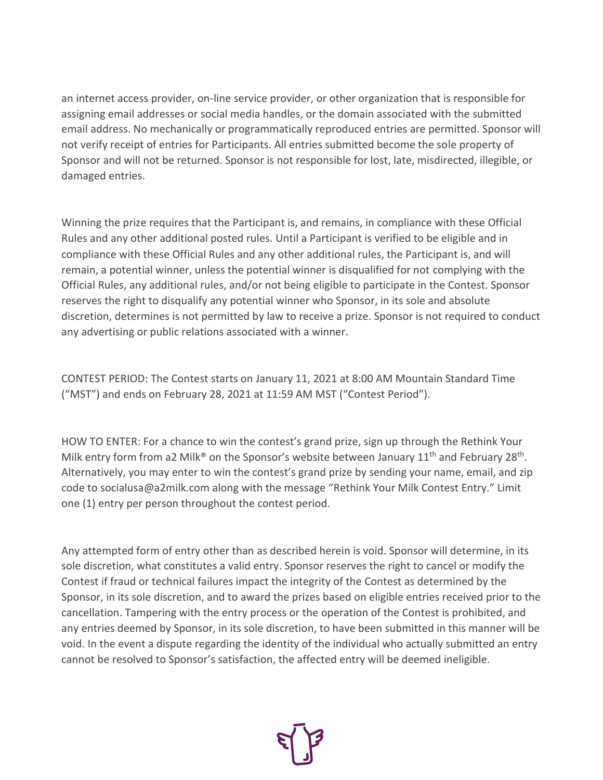an internet access provider, on-line service provider, or other organization that is responsible for assigning email addresses or social media handles, or the domain associated with the submitted email address. No mechanically or programmatically reproduced entries are permitted. Sponsor will not verify receipt of entries for Participants. All entries submitted become the sole property of Sponsor and will not be returned. Sponsor is not responsible for lost, late, misdirected, illegible, or damaged entries.

Winning the prize requires that the Participant is, and remains, in compliance with these Official Rules and any other additional posted rules. Until a Participant is verified to be eligible and in compliance with these Official Rules and any other additional rules, the Participant is, and will remain, a potential winner, unless the potential winner is disqualified for not complying with the Official Rules, any additional rules, and/or not being eligible to participate in the Contest. Sponsor reserves the right to disqualify any potential winner who Sponsor, in its sole and absolute discretion, determines is not permitted by law to receive a prize. Sponsor is not required to conduct any advertising or public relations associated with a winner.

CONTEST PERIOD: The Contest starts on January 11, 2021 at 8:00 AM Mountain Standard Time ("MST") and ends on February 28, 2021 at 11:59 AM MST ("Contest Period").

HOW TO ENTER: For a chance to win the contest's grand prize, sign up through the Rethink Your Milk entry form from a2 Milk<sup>®</sup> on the Sponsor's website between January 11<sup>th</sup> and February 28<sup>th</sup>. Alternatively, you may enter to win the contest's grand prize by sending your name, email, and zip code to socialusa@a2milk.com along with the message "Rethink Your Milk Contest Entry." Limit one (1) entry per person throughout the contest period.

Any attempted form of entry other than as described herein is void. Sponsor will determine, in its sole discretion, what constitutes a valid entry. Sponsor reserves the right to cancel or modify the Contest if fraud or technical failures impact the integrity of the Contest as determined by the Sponsor, in its sole discretion, and to award the prizes based on eligible entries received prior to the cancellation. Tampering with the entry process or the operation of the Contest is prohibited, and any entries deemed by Sponsor, in its sole discretion, to have been submitted in this manner will be void. In the event a dispute regarding the identity of the individual who actually submitted an entry cannot be resolved to Sponsor's satisfaction, the affected entry will be deemed ineligible.

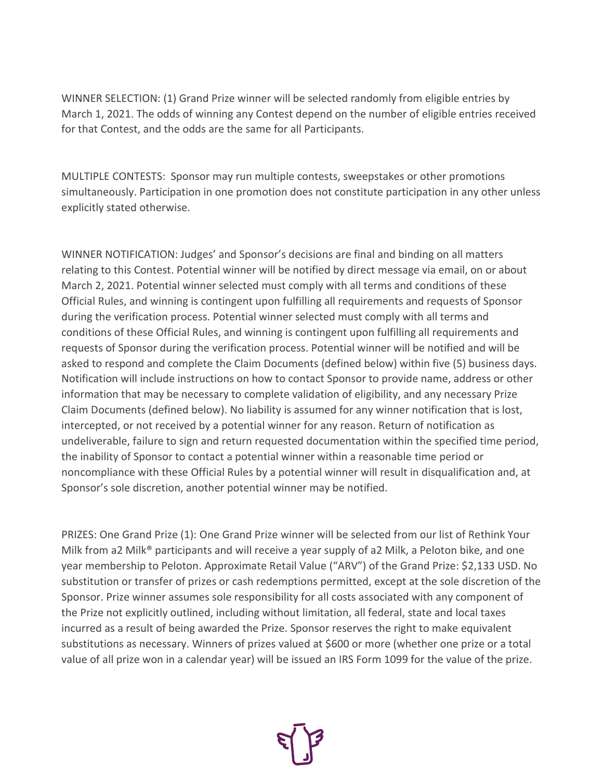WINNER SELECTION: (1) Grand Prize winner will be selected randomly from eligible entries by March 1, 2021. The odds of winning any Contest depend on the number of eligible entries received for that Contest, and the odds are the same for all Participants.

MULTIPLE CONTESTS: Sponsor may run multiple contests, sweepstakes or other promotions simultaneously. Participation in one promotion does not constitute participation in any other unless explicitly stated otherwise.

WINNER NOTIFICATION: Judges' and Sponsor's decisions are final and binding on all matters relating to this Contest. Potential winner will be notified by direct message via email, on or about March 2, 2021. Potential winner selected must comply with all terms and conditions of these Official Rules, and winning is contingent upon fulfilling all requirements and requests of Sponsor during the verification process. Potential winner selected must comply with all terms and conditions of these Official Rules, and winning is contingent upon fulfilling all requirements and requests of Sponsor during the verification process. Potential winner will be notified and will be asked to respond and complete the Claim Documents (defined below) within five (5) business days. Notification will include instructions on how to contact Sponsor to provide name, address or other information that may be necessary to complete validation of eligibility, and any necessary Prize Claim Documents (defined below). No liability is assumed for any winner notification that is lost, intercepted, or not received by a potential winner for any reason. Return of notification as undeliverable, failure to sign and return requested documentation within the specified time period, the inability of Sponsor to contact a potential winner within a reasonable time period or noncompliance with these Official Rules by a potential winner will result in disqualification and, at Sponsor's sole discretion, another potential winner may be notified.

PRIZES: One Grand Prize (1): One Grand Prize winner will be selected from our list of Rethink Your Milk from a2 Milk® participants and will receive a year supply of a2 Milk, a Peloton bike, and one year membership to Peloton. Approximate Retail Value ("ARV") of the Grand Prize: \$2,133 USD. No substitution or transfer of prizes or cash redemptions permitted, except at the sole discretion of the Sponsor. Prize winner assumes sole responsibility for all costs associated with any component of the Prize not explicitly outlined, including without limitation, all federal, state and local taxes incurred as a result of being awarded the Prize. Sponsor reserves the right to make equivalent substitutions as necessary. Winners of prizes valued at \$600 or more (whether one prize or a total value of all prize won in a calendar year) will be issued an IRS Form 1099 for the value of the prize.

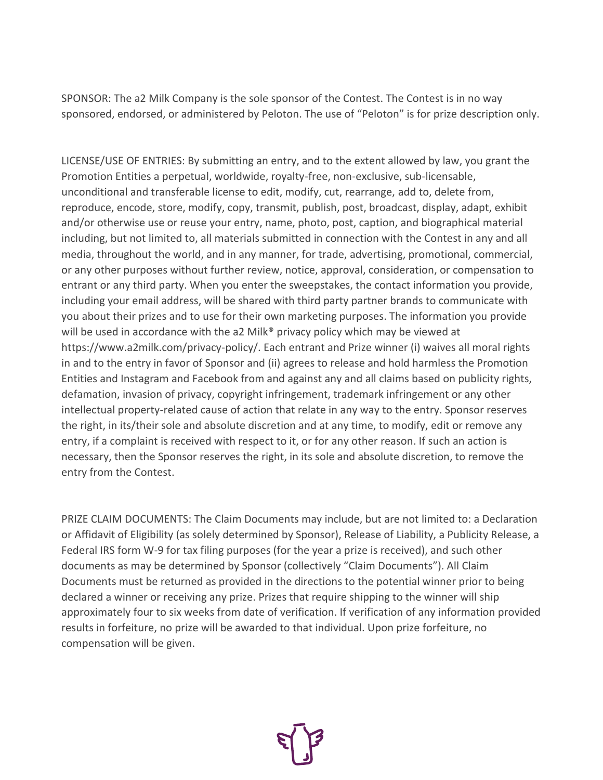SPONSOR: The a2 Milk Company is the sole sponsor of the Contest. The Contest is in no way sponsored, endorsed, or administered by Peloton. The use of "Peloton" is for prize description only.

LICENSE/USE OF ENTRIES: By submitting an entry, and to the extent allowed by law, you grant the Promotion Entities a perpetual, worldwide, royalty-free, non-exclusive, sub-licensable, unconditional and transferable license to edit, modify, cut, rearrange, add to, delete from, reproduce, encode, store, modify, copy, transmit, publish, post, broadcast, display, adapt, exhibit and/or otherwise use or reuse your entry, name, photo, post, caption, and biographical material including, but not limited to, all materials submitted in connection with the Contest in any and all media, throughout the world, and in any manner, for trade, advertising, promotional, commercial, or any other purposes without further review, notice, approval, consideration, or compensation to entrant or any third party. When you enter the sweepstakes, the contact information you provide, including your email address, will be shared with third party partner brands to communicate with you about their prizes and to use for their own marketing purposes. The information you provide will be used in accordance with the a2 Milk® privacy policy which may be viewed at https://www.a2milk.com/privacy-policy/. Each entrant and Prize winner (i) waives all moral rights in and to the entry in favor of Sponsor and (ii) agrees to release and hold harmless the Promotion Entities and Instagram and Facebook from and against any and all claims based on publicity rights, defamation, invasion of privacy, copyright infringement, trademark infringement or any other intellectual property-related cause of action that relate in any way to the entry. Sponsor reserves the right, in its/their sole and absolute discretion and at any time, to modify, edit or remove any entry, if a complaint is received with respect to it, or for any other reason. If such an action is necessary, then the Sponsor reserves the right, in its sole and absolute discretion, to remove the entry from the Contest.

PRIZE CLAIM DOCUMENTS: The Claim Documents may include, but are not limited to: a Declaration or Affidavit of Eligibility (as solely determined by Sponsor), Release of Liability, a Publicity Release, a Federal IRS form W-9 for tax filing purposes (for the year a prize is received), and such other documents as may be determined by Sponsor (collectively "Claim Documents"). All Claim Documents must be returned as provided in the directions to the potential winner prior to being declared a winner or receiving any prize. Prizes that require shipping to the winner will ship approximately four to six weeks from date of verification. If verification of any information provided results in forfeiture, no prize will be awarded to that individual. Upon prize forfeiture, no compensation will be given.

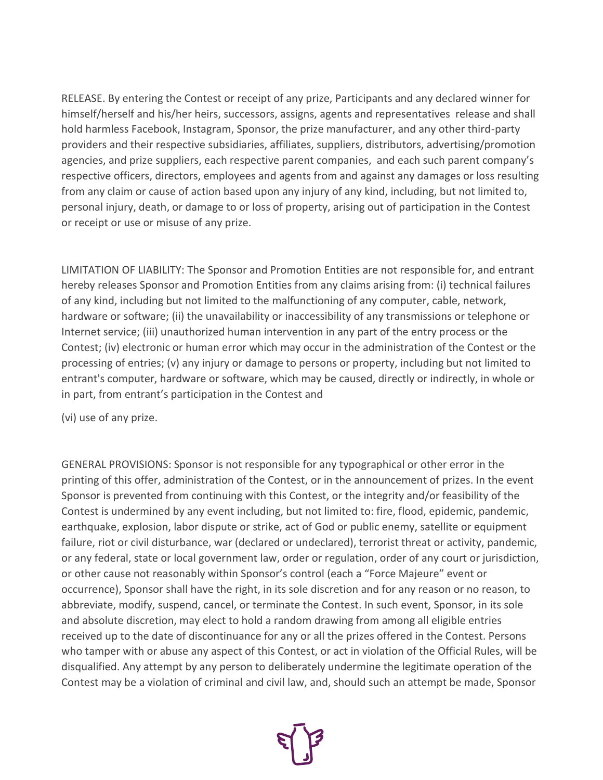RELEASE. By entering the Contest or receipt of any prize, Participants and any declared winner for himself/herself and his/her heirs, successors, assigns, agents and representatives release and shall hold harmless Facebook, Instagram, Sponsor, the prize manufacturer, and any other third-party providers and their respective subsidiaries, affiliates, suppliers, distributors, advertising/promotion agencies, and prize suppliers, each respective parent companies, and each such parent company's respective officers, directors, employees and agents from and against any damages or loss resulting from any claim or cause of action based upon any injury of any kind, including, but not limited to, personal injury, death, or damage to or loss of property, arising out of participation in the Contest or receipt or use or misuse of any prize.

LIMITATION OF LIABILITY: The Sponsor and Promotion Entities are not responsible for, and entrant hereby releases Sponsor and Promotion Entities from any claims arising from: (i) technical failures of any kind, including but not limited to the malfunctioning of any computer, cable, network, hardware or software; (ii) the unavailability or inaccessibility of any transmissions or telephone or Internet service; (iii) unauthorized human intervention in any part of the entry process or the Contest; (iv) electronic or human error which may occur in the administration of the Contest or the processing of entries; (v) any injury or damage to persons or property, including but not limited to entrant's computer, hardware or software, which may be caused, directly or indirectly, in whole or in part, from entrant's participation in the Contest and

(vi) use of any prize.

GENERAL PROVISIONS: Sponsor is not responsible for any typographical or other error in the printing of this offer, administration of the Contest, or in the announcement of prizes. In the event Sponsor is prevented from continuing with this Contest, or the integrity and/or feasibility of the Contest is undermined by any event including, but not limited to: fire, flood, epidemic, pandemic, earthquake, explosion, labor dispute or strike, act of God or public enemy, satellite or equipment failure, riot or civil disturbance, war (declared or undeclared), terrorist threat or activity, pandemic, or any federal, state or local government law, order or regulation, order of any court or jurisdiction, or other cause not reasonably within Sponsor's control (each a "Force Majeure" event or occurrence), Sponsor shall have the right, in its sole discretion and for any reason or no reason, to abbreviate, modify, suspend, cancel, or terminate the Contest. In such event, Sponsor, in its sole and absolute discretion, may elect to hold a random drawing from among all eligible entries received up to the date of discontinuance for any or all the prizes offered in the Contest. Persons who tamper with or abuse any aspect of this Contest, or act in violation of the Official Rules, will be disqualified. Any attempt by any person to deliberately undermine the legitimate operation of the Contest may be a violation of criminal and civil law, and, should such an attempt be made, Sponsor

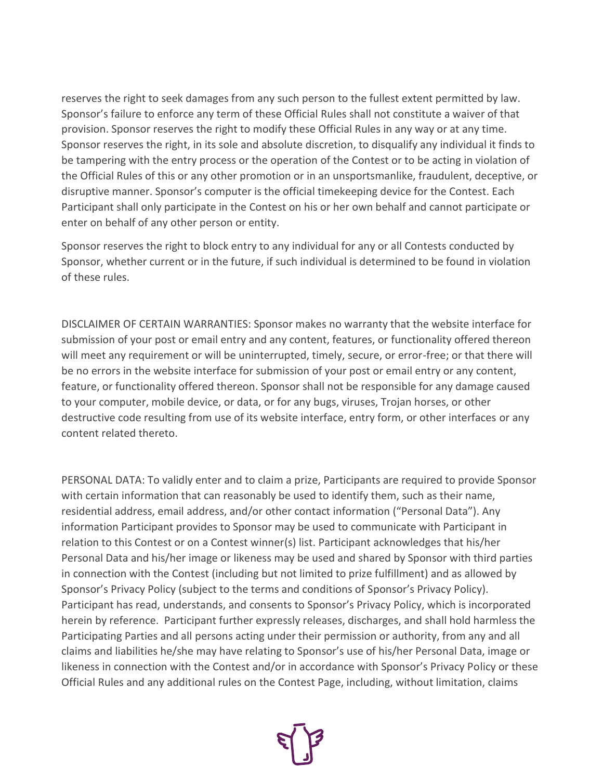reserves the right to seek damages from any such person to the fullest extent permitted by law. Sponsor's failure to enforce any term of these Official Rules shall not constitute a waiver of that provision. Sponsor reserves the right to modify these Official Rules in any way or at any time. Sponsor reserves the right, in its sole and absolute discretion, to disqualify any individual it finds to be tampering with the entry process or the operation of the Contest or to be acting in violation of the Official Rules of this or any other promotion or in an unsportsmanlike, fraudulent, deceptive, or disruptive manner. Sponsor's computer is the official timekeeping device for the Contest. Each Participant shall only participate in the Contest on his or her own behalf and cannot participate or enter on behalf of any other person or entity.

Sponsor reserves the right to block entry to any individual for any or all Contests conducted by Sponsor, whether current or in the future, if such individual is determined to be found in violation of these rules.

DISCLAIMER OF CERTAIN WARRANTIES: Sponsor makes no warranty that the website interface for submission of your post or email entry and any content, features, or functionality offered thereon will meet any requirement or will be uninterrupted, timely, secure, or error-free; or that there will be no errors in the website interface for submission of your post or email entry or any content, feature, or functionality offered thereon. Sponsor shall not be responsible for any damage caused to your computer, mobile device, or data, or for any bugs, viruses, Trojan horses, or other destructive code resulting from use of its website interface, entry form, or other interfaces or any content related thereto.

PERSONAL DATA: To validly enter and to claim a prize, Participants are required to provide Sponsor with certain information that can reasonably be used to identify them, such as their name, residential address, email address, and/or other contact information ("Personal Data"). Any information Participant provides to Sponsor may be used to communicate with Participant in relation to this Contest or on a Contest winner(s) list. Participant acknowledges that his/her Personal Data and his/her image or likeness may be used and shared by Sponsor with third parties in connection with the Contest (including but not limited to prize fulfillment) and as allowed by Sponsor's Privacy Policy (subject to the terms and conditions of Sponsor's Privacy Policy). Participant has read, understands, and consents to Sponsor's Privacy Policy, which is incorporated herein by reference. Participant further expressly releases, discharges, and shall hold harmless the Participating Parties and all persons acting under their permission or authority, from any and all claims and liabilities he/she may have relating to Sponsor's use of his/her Personal Data, image or likeness in connection with the Contest and/or in accordance with Sponsor's Privacy Policy or these Official Rules and any additional rules on the Contest Page, including, without limitation, claims

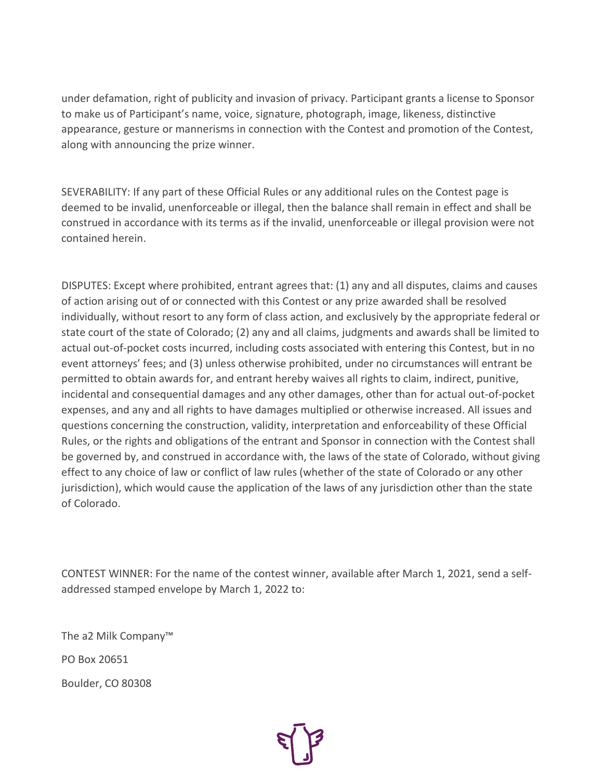under defamation, right of publicity and invasion of privacy. Participant grants a license to Sponsor to make us of Participant's name, voice, signature, photograph, image, likeness, distinctive appearance, gesture or mannerisms in connection with the Contest and promotion of the Contest, along with announcing the prize winner.

SEVERABILITY: If any part of these Official Rules or any additional rules on the Contest page is deemed to be invalid, unenforceable or illegal, then the balance shall remain in effect and shall be construed in accordance with its terms as if the invalid, unenforceable or illegal provision were not contained herein.

DISPUTES: Except where prohibited, entrant agrees that: (1) any and all disputes, claims and causes of action arising out of or connected with this Contest or any prize awarded shall be resolved individually, without resort to any form of class action, and exclusively by the appropriate federal or state court of the state of Colorado; (2) any and all claims, judgments and awards shall be limited to actual out-of-pocket costs incurred, including costs associated with entering this Contest, but in no event attorneys' fees; and (3) unless otherwise prohibited, under no circumstances will entrant be permitted to obtain awards for, and entrant hereby waives all rights to claim, indirect, punitive, incidental and consequential damages and any other damages, other than for actual out-of-pocket expenses, and any and all rights to have damages multiplied or otherwise increased. All issues and questions concerning the construction, validity, interpretation and enforceability of these Official Rules, or the rights and obligations of the entrant and Sponsor in connection with the Contest shall be governed by, and construed in accordance with, the laws of the state of Colorado, without giving effect to any choice of law or conflict of law rules (whether of the state of Colorado or any other jurisdiction), which would cause the application of the laws of any jurisdiction other than the state of Colorado.

CONTEST WINNER: For the name of the contest winner, available after March 1, 2021, send a selfaddressed stamped envelope by March 1, 2022 to:

The a2 Milk Company™ PO Box 20651 Boulder, CO 80308